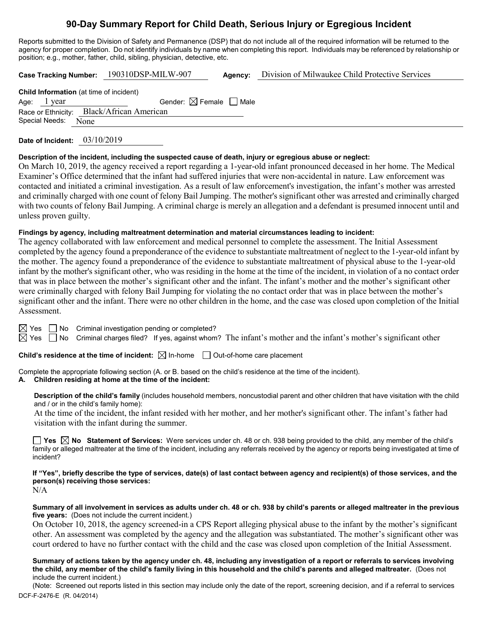# **90-Day Summary Report for Child Death, Serious Injury or Egregious Incident**

Reports submitted to the Division of Safety and Permanence (DSP) that do not include all of the required information will be returned to the agency for proper completion. Do not identify individuals by name when completing this report. Individuals may be referenced by relationship or position; e.g., mother, father, child, sibling, physician, detective, etc.

**Case Tracking Number:** 190310DSP-MILW-907 **Agency:** Division of Milwaukee Child Protective Services

**Child Information** (at time of incident) Age: 1 year  $\Box$  Gender:  $\boxtimes$  Female  $\Box$  Male Race or Ethnicity: Black/African American Special Needs: None

**Date of Incident:** 03/10/2019

#### **Description of the incident, including the suspected cause of death, injury or egregious abuse or neglect:**

On March 10, 2019, the agency received a report regarding a 1-year-old infant pronounced deceased in her home. The Medical Examiner's Office determined that the infant had suffered injuries that were non-accidental in nature. Law enforcement was contacted and initiated a criminal investigation. As a result of law enforcement's investigation, the infant's mother was arrested and criminally charged with one count of felony Bail Jumping. The mother's significant other was arrested and criminally charged with two counts of felony Bail Jumping. A criminal charge is merely an allegation and a defendant is presumed innocent until and unless proven guilty.

## **Findings by agency, including maltreatment determination and material circumstances leading to incident:**

The agency collaborated with law enforcement and medical personnel to complete the assessment. The Initial Assessment completed by the agency found a preponderance of the evidence to substantiate maltreatment of neglect to the 1-year-old infant by the mother. The agency found a preponderance of the evidence to substantiate maltreatment of physical abuse to the 1-year-old infant by the mother's significant other, who was residing in the home at the time of the incident, in violation of a no contact order that was in place between the mother's significant other and the infant. The infant's mother and the mother's significant other were criminally charged with felony Bail Jumping for violating the no contact order that was in place between the mother's significant other and the infant. There were no other children in the home, and the case was closed upon completion of the Initial Assessment.

 $\boxtimes$  Yes  $\Box$  No Criminal investigation pending or completed?

 $\boxtimes$  Yes  $\Box$  No Criminal charges filed? If yes, against whom? The infant's mother and the infant's mother's significant other

**Child's residence at the time of incident:**  $\boxtimes$  In-home  $\Box$  Out-of-home care placement

Complete the appropriate following section (A. or B. based on the child's residence at the time of the incident).

## **A. Children residing at home at the time of the incident:**

**Description of the child's family** (includes household members, noncustodial parent and other children that have visitation with the child and / or in the child's family home):

At the time of the incident, the infant resided with her mother, and her mother's significant other. The infant's father had visitation with the infant during the summer.

**Yes No Statement of Services:** Were services under ch. 48 or ch. 938 being provided to the child, any member of the child's family or alleged maltreater at the time of the incident, including any referrals received by the agency or reports being investigated at time of incident?

**If "Yes", briefly describe the type of services, date(s) of last contact between agency and recipient(s) of those services, and the person(s) receiving those services:** N/A

**Summary of all involvement in services as adults under ch. 48 or ch. 938 by child's parents or alleged maltreater in the previous five years:** (Does not include the current incident.)

On October 10, 2018, the agency screened-in a CPS Report alleging physical abuse to the infant by the mother's significant other. An assessment was completed by the agency and the allegation was substantiated. The mother's significant other was court ordered to have no further contact with the child and the case was closed upon completion of the Initial Assessment.

**Summary of actions taken by the agency under ch. 48, including any investigation of a report or referrals to services involving the child, any member of the child's family living in this household and the child's parents and alleged maltreater.** (Does not include the current incident.)

DCF-F-2476-E (R. 04/2014) (Note: Screened out reports listed in this section may include only the date of the report, screening decision, and if a referral to services